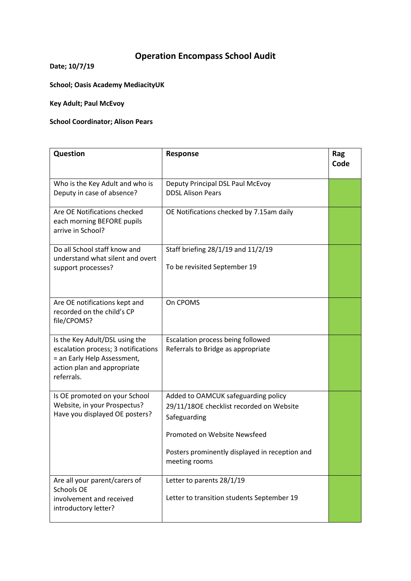## **Operation Encompass School Audit**

**Date; 10/7/19**

**School; Oasis Academy MediacityUK**

**Key Adult; Paul McEvoy** 

## **School Coordinator; Alison Pears**

| Question                                                                                                                                          | Response                                                                                                                                                                                           | Rag<br>Code |
|---------------------------------------------------------------------------------------------------------------------------------------------------|----------------------------------------------------------------------------------------------------------------------------------------------------------------------------------------------------|-------------|
| Who is the Key Adult and who is<br>Deputy in case of absence?                                                                                     | Deputy Principal DSL Paul McEvoy<br><b>DDSL Alison Pears</b>                                                                                                                                       |             |
| Are OE Notifications checked<br>each morning BEFORE pupils<br>arrive in School?                                                                   | OE Notifications checked by 7.15am daily                                                                                                                                                           |             |
| Do all School staff know and<br>understand what silent and overt<br>support processes?                                                            | Staff briefing 28/1/19 and 11/2/19<br>To be revisited September 19                                                                                                                                 |             |
| Are OE notifications kept and<br>recorded on the child's CP<br>file/CPOMS?                                                                        | On CPOMS                                                                                                                                                                                           |             |
| Is the Key Adult/DSL using the<br>escalation process; 3 notifications<br>= an Early Help Assessment,<br>action plan and appropriate<br>referrals. | Escalation process being followed<br>Referrals to Bridge as appropriate                                                                                                                            |             |
| Is OE promoted on your School<br>Website, in your Prospectus?<br>Have you displayed OE posters?                                                   | Added to OAMCUK safeguarding policy<br>29/11/180E checklist recorded on Website<br>Safeguarding<br>Promoted on Website Newsfeed<br>Posters prominently displayed in reception and<br>meeting rooms |             |
| Are all your parent/carers of<br>Schools OE<br>involvement and received<br>introductory letter?                                                   | Letter to parents 28/1/19<br>Letter to transition students September 19                                                                                                                            |             |